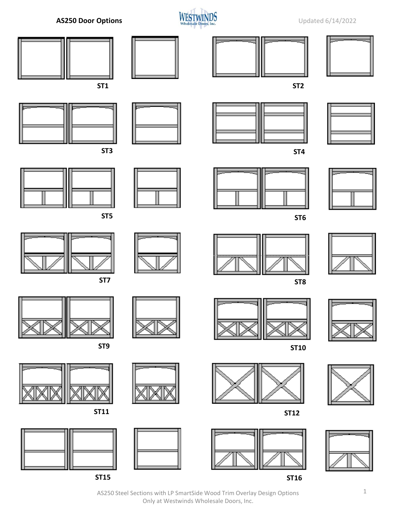



AS250 Steel Sections with LP SmartSide Wood Trim Overlay Design Options 1 Only at Westwinds Wholesale Doors, Inc.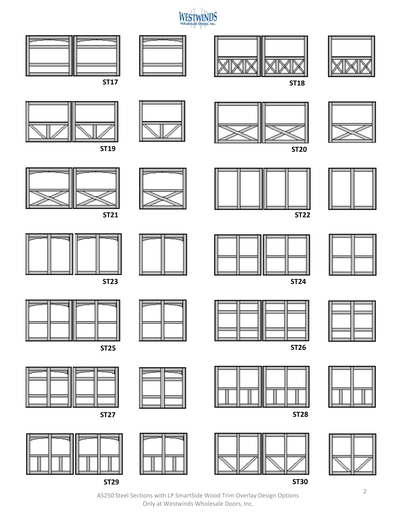







**ST19 ST20**



**ST17 ST18**













**ST22**



**ST27 ST28**









**ST21**









AS250 Steel Sections with LP SmartSide Wood Trim Overlay Design Options Only at Westwinds Wholesale Doors, Inc.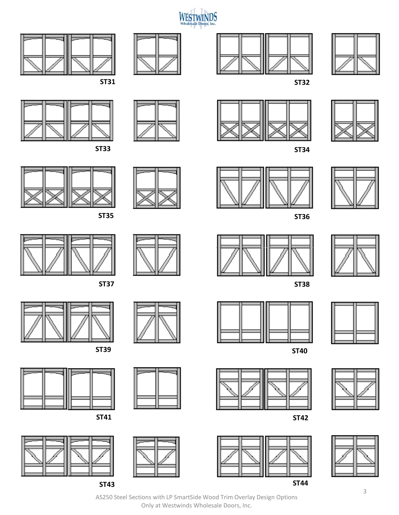













































**ST39 ST30** 





























AS250 Steel Sections with LP SmartSide Wood Trim Overlay Design Options Only at Westwinds Wholesale Doors, Inc.





**ST35 ST36**





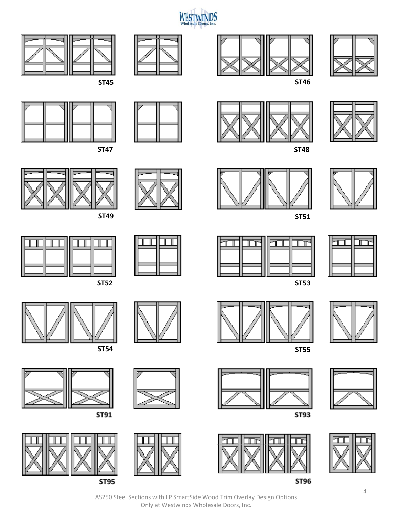



**ST45 ST46**











ST91



**ST95** 



























**ST49 ST51**





**ST54 ST55**



















**ST96** 

AS250 Steel Sections with LP SmartSide Wood Trim Overlay Design Options Only at Westwinds Wholesale Doors, Inc.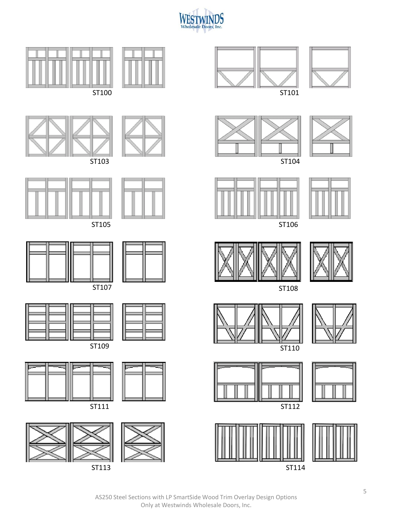

















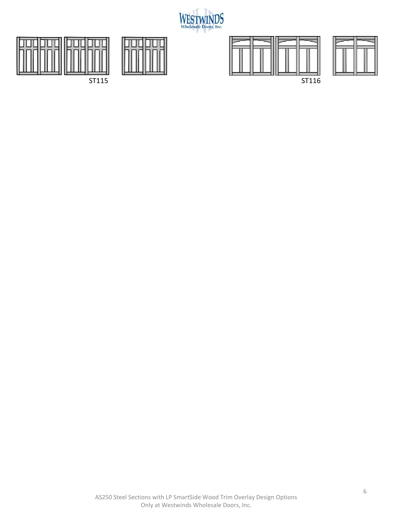